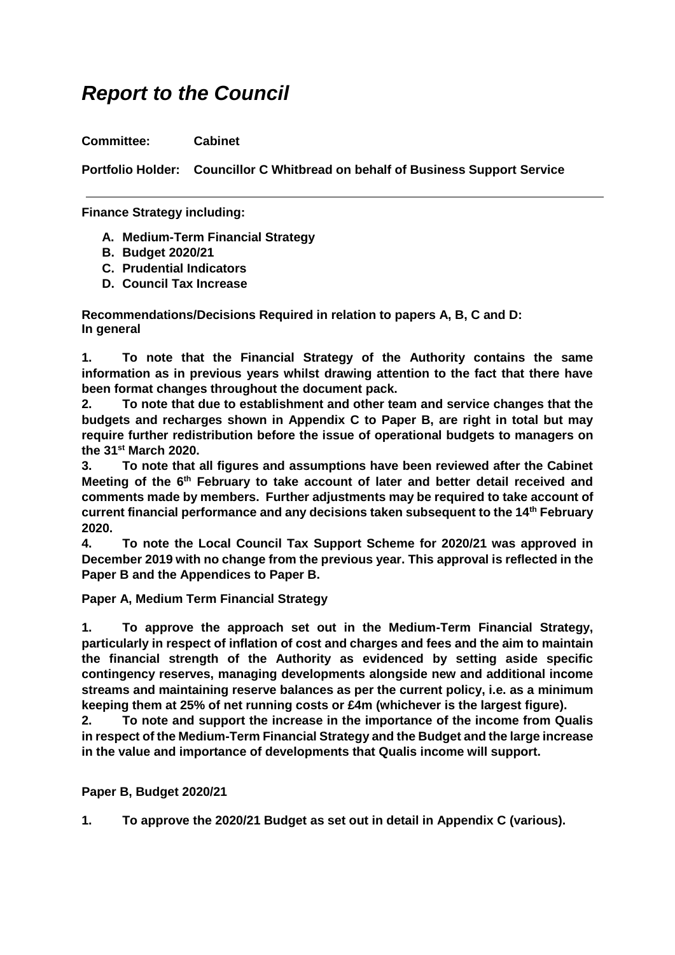## *Report to the Council*

**Committee: Cabinet**

**Portfolio Holder: Councillor C Whitbread on behalf of Business Support Service**

**Finance Strategy including:**

- **A. Medium-Term Financial Strategy**
- **B. Budget 2020/21**
- **C. Prudential Indicators**
- **D. Council Tax Increase**

**Recommendations/Decisions Required in relation to papers A, B, C and D: In general**

**1. To note that the Financial Strategy of the Authority contains the same information as in previous years whilst drawing attention to the fact that there have been format changes throughout the document pack.**

**2. To note that due to establishment and other team and service changes that the budgets and recharges shown in Appendix C to Paper B, are right in total but may require further redistribution before the issue of operational budgets to managers on the 31st March 2020.**

**3. To note that all figures and assumptions have been reviewed after the Cabinet Meeting of the 6th February to take account of later and better detail received and comments made by members. Further adjustments may be required to take account of current financial performance and any decisions taken subsequent to the 14th February 2020.** 

**4. To note the Local Council Tax Support Scheme for 2020/21 was approved in December 2019 with no change from the previous year. This approval is reflected in the Paper B and the Appendices to Paper B.**

**Paper A, Medium Term Financial Strategy**

**1. To approve the approach set out in the Medium-Term Financial Strategy, particularly in respect of inflation of cost and charges and fees and the aim to maintain the financial strength of the Authority as evidenced by setting aside specific contingency reserves, managing developments alongside new and additional income streams and maintaining reserve balances as per the current policy, i.e. as a minimum keeping them at 25% of net running costs or £4m (whichever is the largest figure).**

**2. To note and support the increase in the importance of the income from Qualis in respect of the Medium-Term Financial Strategy and the Budget and the large increase in the value and importance of developments that Qualis income will support.**

**Paper B, Budget 2020/21**

**1. To approve the 2020/21 Budget as set out in detail in Appendix C (various).**